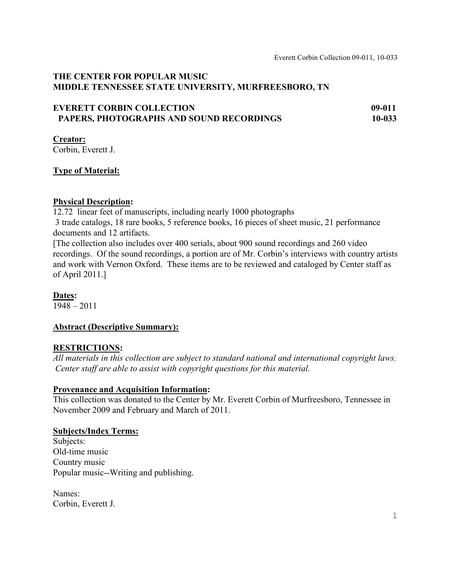# **THE CENTER FOR POPULAR MUSIC MIDDLE TENNESSEE STATE UNIVERSITY, MURFREESBORO, TN**

| <b>EVERETT CORBIN COLLECTION</b>         | 09-011     |
|------------------------------------------|------------|
| PAPERS, PHOTOGRAPHS AND SOUND RECORDINGS | $10 - 033$ |

**Creator:** Corbin, Everett J.

# **Type of Material:**

## **Physical Description:**

12.72 linear feet of manuscripts, including nearly 1000 photographs

3 trade catalogs, 18 rare books, 5 reference books, 16 pieces of sheet music, 21 performance documents and 12 artifacts.

[The collection also includes over 400 serials, about 900 sound recordings and 260 video recordings. Of the sound recordings, a portion are of Mr. Corbin's interviews with country artists and work with Vernon Oxford. These items are to be reviewed and cataloged by Center staff as of April 2011.]

**Dates:**

1948 – 2011

## **Abstract (Descriptive Summary):**

## **RESTRICTIONS:**

*All materials in this collection are subject to standard national and international copyright laws. Center staff are able to assist with copyright questions for this material.*

## **Provenance and Acquisition Information:**

This collection was donated to the Center by Mr. Everett Corbin of Murfreesboro, Tennessee in November 2009 and February and March of 2011.

## **Subjects/Index Terms:**

Subjects: Old-time music Country music Popular music--Writing and publishing.

Names: Corbin, Everett J.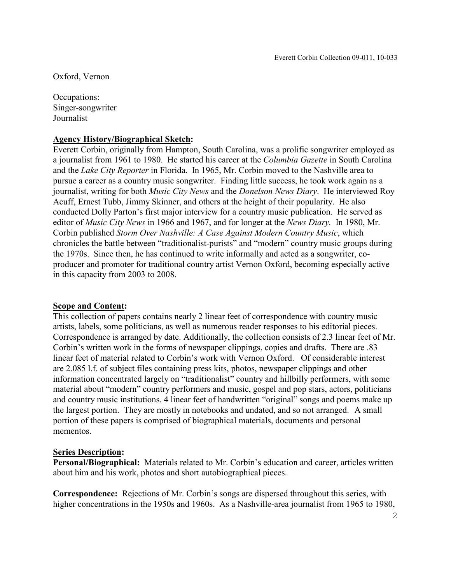Oxford, Vernon

Occupations: Singer-songwriter Journalist

#### **Agency History/Biographical Sketch:**

Everett Corbin, originally from Hampton, South Carolina, was a prolific songwriter employed as a journalist from 1961 to 1980. He started his career at the *Columbia Gazette* in South Carolina and the *Lake City Reporter* in Florida. In 1965, Mr. Corbin moved to the Nashville area to pursue a career as a country music songwriter. Finding little success, he took work again as a journalist, writing for both *Music City News* and the *Donelson News Diary*. He interviewed Roy Acuff, Ernest Tubb, Jimmy Skinner, and others at the height of their popularity. He also conducted Dolly Parton's first major interview for a country music publication. He served as editor of *Music City News* in 1966 and 1967, and for longer at the *News Diary.* In 1980, Mr. Corbin published *Storm Over Nashville: A Case Against Modern Country Music*, which chronicles the battle between "traditionalist-purists" and "modern" country music groups during the 1970s. Since then, he has continued to write informally and acted as a songwriter, coproducer and promoter for traditional country artist Vernon Oxford, becoming especially active in this capacity from 2003 to 2008.

#### **Scope and Content:**

This collection of papers contains nearly 2 linear feet of correspondence with country music artists, labels, some politicians, as well as numerous reader responses to his editorial pieces. Correspondence is arranged by date. Additionally, the collection consists of 2.3 linear feet of Mr. Corbin's written work in the forms of newspaper clippings, copies and drafts. There are .83 linear feet of material related to Corbin's work with Vernon Oxford. Of considerable interest are 2.085 l.f. of subject files containing press kits, photos, newspaper clippings and other information concentrated largely on "traditionalist" country and hillbilly performers, with some material about "modern" country performers and music, gospel and pop stars, actors, politicians and country music institutions. 4 linear feet of handwritten "original" songs and poems make up the largest portion. They are mostly in notebooks and undated, and so not arranged. A small portion of these papers is comprised of biographical materials, documents and personal mementos.

#### **Series Description:**

**Personal/Biographical:** Materials related to Mr. Corbin's education and career, articles written about him and his work, photos and short autobiographical pieces.

**Correspondence:** Rejections of Mr. Corbin's songs are dispersed throughout this series, with higher concentrations in the 1950s and 1960s. As a Nashville-area journalist from 1965 to 1980,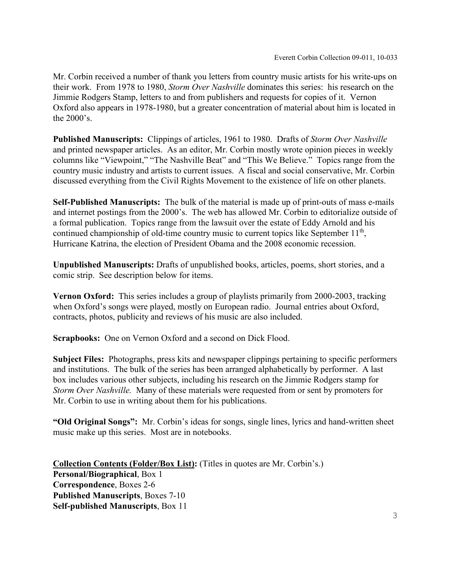Mr. Corbin received a number of thank you letters from country music artists for his write-ups on their work. From 1978 to 1980, *Storm Over Nashville* dominates this series: his research on the Jimmie Rodgers Stamp, letters to and from publishers and requests for copies of it. Vernon Oxford also appears in 1978-1980, but a greater concentration of material about him is located in the 2000's.

**Published Manuscripts:** Clippings of articles, 1961 to 1980. Drafts of *Storm Over Nashville*  and printed newspaper articles. As an editor, Mr. Corbin mostly wrote opinion pieces in weekly columns like "Viewpoint," "The Nashville Beat" and "This We Believe." Topics range from the country music industry and artists to current issues. A fiscal and social conservative, Mr. Corbin discussed everything from the Civil Rights Movement to the existence of life on other planets.

**Self-Published Manuscripts:** The bulk of the material is made up of print-outs of mass e-mails and internet postings from the 2000's. The web has allowed Mr. Corbin to editorialize outside of a formal publication. Topics range from the lawsuit over the estate of Eddy Arnold and his continued championship of old-time country music to current topics like September  $11<sup>th</sup>$ , Hurricane Katrina, the election of President Obama and the 2008 economic recession.

**Unpublished Manuscripts:** Drafts of unpublished books, articles, poems, short stories, and a comic strip. See description below for items.

**Vernon Oxford:** This series includes a group of playlists primarily from 2000-2003, tracking when Oxford's songs were played, mostly on European radio. Journal entries about Oxford, contracts, photos, publicity and reviews of his music are also included.

**Scrapbooks:** One on Vernon Oxford and a second on Dick Flood.

**Subject Files:** Photographs, press kits and newspaper clippings pertaining to specific performers and institutions. The bulk of the series has been arranged alphabetically by performer. A last box includes various other subjects, including his research on the Jimmie Rodgers stamp for *Storm Over Nashville.* Many of these materials were requested from or sent by promoters for Mr. Corbin to use in writing about them for his publications.

**"Old Original Songs":** Mr. Corbin's ideas for songs, single lines, lyrics and hand-written sheet music make up this series. Most are in notebooks.

**Collection Contents (Folder/Box List):** (Titles in quotes are Mr. Corbin's.) **Personal/Biographical**, Box 1 **Correspondence**, Boxes 2-6 **Published Manuscripts**, Boxes 7-10 **Self-published Manuscripts**, Box 11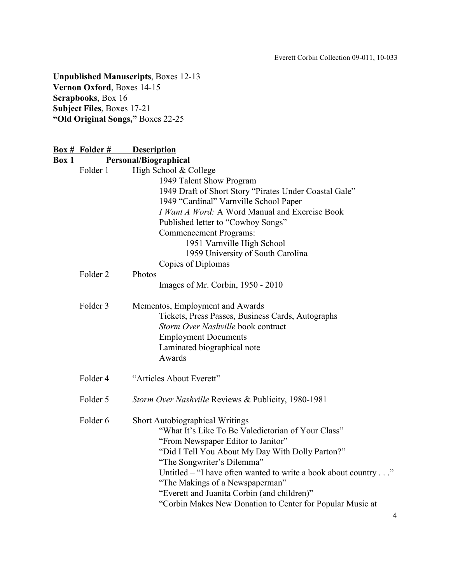# **Unpublished Manuscripts**, Boxes 12-13 **Vernon Oxford**, Boxes 14-15 **Scrapbooks**, Box 16 **Subject Files**, Boxes 17-21 **"Old Original Songs,"** Boxes 22-25

|       | <b>Box # Folder #</b> | <b>Description</b>                                                                                                                                                                                                                                                                                                                                                                                                                    |
|-------|-----------------------|---------------------------------------------------------------------------------------------------------------------------------------------------------------------------------------------------------------------------------------------------------------------------------------------------------------------------------------------------------------------------------------------------------------------------------------|
| Box 1 |                       | Personal/Biographical                                                                                                                                                                                                                                                                                                                                                                                                                 |
|       | Folder 1              | High School & College<br>1949 Talent Show Program<br>1949 Draft of Short Story "Pirates Under Coastal Gale"<br>1949 "Cardinal" Varnville School Paper<br>I Want A Word: A Word Manual and Exercise Book<br>Published letter to "Cowboy Songs"<br><b>Commencement Programs:</b><br>1951 Varnville High School<br>1959 University of South Carolina                                                                                     |
|       |                       | Copies of Diplomas                                                                                                                                                                                                                                                                                                                                                                                                                    |
|       | Folder <sub>2</sub>   | Photos<br>Images of Mr. Corbin, 1950 - 2010                                                                                                                                                                                                                                                                                                                                                                                           |
|       | Folder 3              | Mementos, Employment and Awards<br>Tickets, Press Passes, Business Cards, Autographs<br>Storm Over Nashville book contract<br><b>Employment Documents</b><br>Laminated biographical note<br>Awards                                                                                                                                                                                                                                    |
|       | Folder 4              | "Articles About Everett"                                                                                                                                                                                                                                                                                                                                                                                                              |
|       | Folder 5              | Storm Over Nashville Reviews & Publicity, 1980-1981                                                                                                                                                                                                                                                                                                                                                                                   |
|       | Folder <sub>6</sub>   | <b>Short Autobiographical Writings</b><br>"What It's Like To Be Valedictorian of Your Class"<br>"From Newspaper Editor to Janitor"<br>"Did I Tell You About My Day With Dolly Parton?"<br>"The Songwriter's Dilemma"<br>Untitled – "I have often wanted to write a book about country"<br>"The Makings of a Newspaperman"<br>"Everett and Juanita Corbin (and children)"<br>"Corbin Makes New Donation to Center for Popular Music at |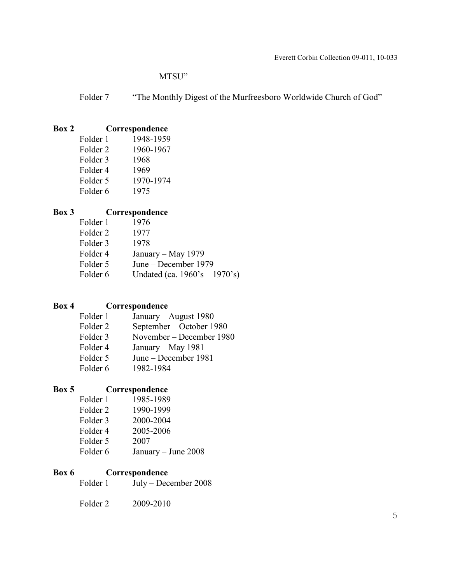## MTSU"

Folder 7 "The Monthly Digest of the Murfreesboro Worldwide Church of God"

# **Box 2 Correspondence**

| Folder 1            | 1948-1959 |
|---------------------|-----------|
| Folder <sub>2</sub> | 1960-1967 |
| Folder 3            | 1968      |
| Folder 4            | 1969      |
| Folder 5            | 1970-1974 |
| Folder 6            | 1975      |

# **Box 3 Correspondence**

| Undated (ca. $1960's - 1970's$ ) |
|----------------------------------|
|                                  |

# **Box 4 Correspondence**

| Folder 1            | January – August 1980    |
|---------------------|--------------------------|
| Folder <sub>2</sub> | September – October 1980 |
| Folder 3            | November – December 1980 |
| Folder 4            | January – May 1981       |
| Folder 5            | June – December 1981     |
| Folder 6            | 1982-1984                |

# **Box 5 Correspondence**

| 1985-1989           |
|---------------------|
| 1990-1999           |
| 2000-2004           |
| 2005-2006           |
| 2007                |
| January – June 2008 |
|                     |

# **Box 6 Correspondence**<br>Folder 1 **July** – Dec

July – December 2008

Folder 2 2009-2010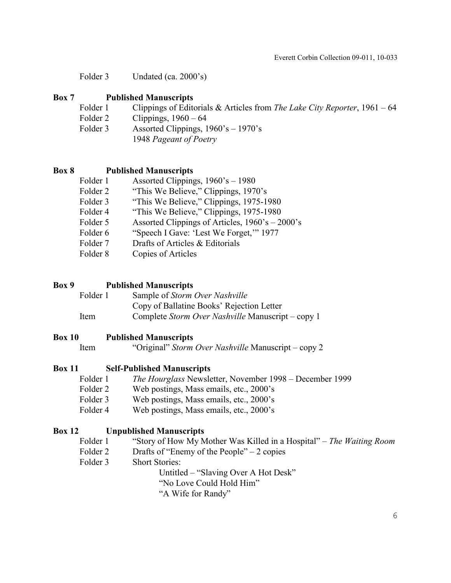Folder 3 Undated (ca. 2000's)

## **Box 7 Published Manuscripts**

- Folder 1 Clippings of Editorials & Articles from *The Lake City Reporter*, 1961 64
- Folder 2 Clippings,  $1960 64$
- Folder 3 Assorted Clippings,  $1960's 1970's$ 
	- 1948 *Pageant of Poetry*

## **Box 8 Published Manuscripts**

- Folder 1 Assorted Clippings,  $1960$ 's 1980
- Folder 2 "This We Believe," Clippings, 1970's
- Folder 3 "This We Believe," Clippings, 1975-1980
- Folder 4 "This We Believe," Clippings, 1975-1980
- Folder 5 Assorted Clippings of Articles,  $1960$ 's 2000's
- Folder 6 "Speech I Gave: 'Lest We Forget,'" 1977
- Folder 7 Drafts of Articles & Editorials
- Folder 8 Copies of Articles

## **Box 9 Published Manuscripts**

Folder 1 Sample of *Storm Over Nashville* Copy of Ballatine Books' Rejection Letter Item Complete *Storm Over Nashville* Manuscript – copy 1

## **Box 10 Published Manuscripts**

Item "Original" *Storm Over Nashville* Manuscript – copy 2

## **Box 11 Self-Published Manuscripts**

- Folder 1 *The Hourglass* Newsletter, November 1998 December 1999
- Folder 2 Web postings, Mass emails, etc., 2000's
- Folder 3 Web postings, Mass emails, etc., 2000's
- Folder 4 Web postings, Mass emails, etc., 2000's

## **Box 12 Unpublished Manuscripts**

- Folder 1 "Story of How My Mother Was Killed in a Hospital" *The Waiting Room*
- Folder 2 Drafts of "Enemy of the People" 2 copies
- Folder 3 Short Stories:

Untitled – "Slaving Over A Hot Desk"

"No Love Could Hold Him"

"A Wife for Randy"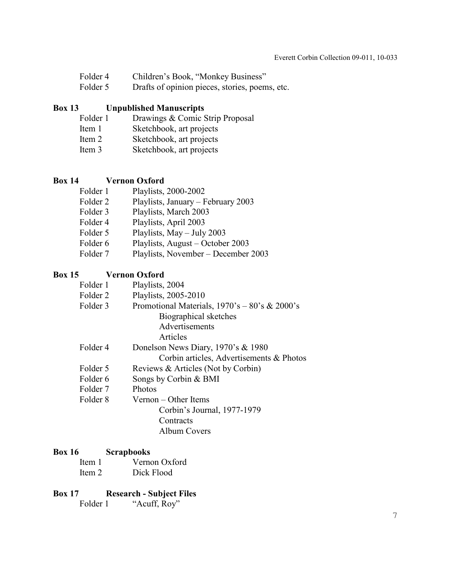- Folder 4 Children's Book, "Monkey Business"
- Folder 5 Drafts of opinion pieces, stories, poems, etc.

## **Box 13 Unpublished Manuscripts**

- Folder 1 Drawings & Comic Strip Proposal<br>Item 1 Sketchbook, art projects
- Sketchbook, art projects
- Item 2 Sketchbook, art projects
- Item 3 Sketchbook, art projects

## **Box 14 Vernon Oxford**

| Folder 1 | Playlists, 2000-2002                |
|----------|-------------------------------------|
| Folder 2 | Playlists, January – February 2003  |
| Folder 3 | Playlists, March 2003               |
| Folder 4 | Playlists, April 2003               |
| Folder 5 | Playlists, $May - July 2003$        |
| Folder 6 | Playlists, August – October 2003    |
| Folder 7 | Playlists, November – December 2003 |

## **Box 15 Vernon Oxford**

| Folder 1 | Playlists, 2004                                  |
|----------|--------------------------------------------------|
| Folder 2 | Playlists, 2005-2010                             |
| Folder 3 | Promotional Materials, $1970's - 80's \& 2000's$ |
|          | Biographical sketches                            |
|          | Advertisements                                   |
|          | Articles                                         |
| Folder 4 | Donelson News Diary, 1970's & 1980               |
|          | Corbin articles, Advertisements & Photos         |
| Folder 5 | Reviews & Articles (Not by Corbin)               |
| Folder 6 | Songs by Corbin & BMI                            |
| Folder 7 | <b>Photos</b>                                    |
| Folder 8 | $Vernon - Other \nItems$                         |
|          | Corbin's Journal, 1977-1979                      |
|          | Contracts                                        |
|          | Album Covers                                     |

#### **Box 16 Scrapbooks**

| Item 1 | Vernon Oxford |
|--------|---------------|
| Item 2 | Dick Flood    |

## **Box 17 Research - Subject Files**

Folder 1 "Acuff, Roy"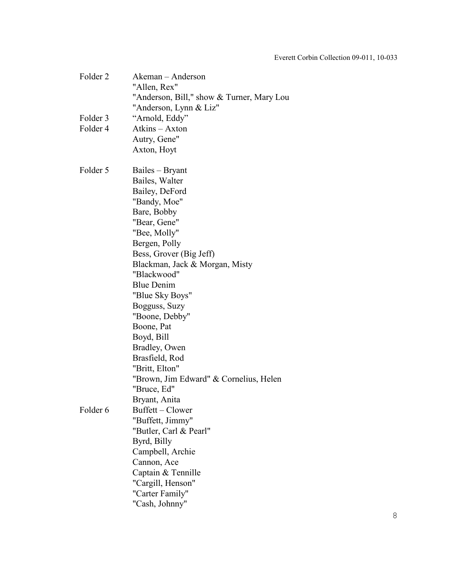| Folder 2 | Akeman - Anderson                         |
|----------|-------------------------------------------|
|          | "Allen, Rex"                              |
|          | "Anderson, Bill," show & Turner, Mary Lou |
|          | "Anderson, Lynn & Liz"                    |
| Folder 3 | "Arnold, Eddy"                            |
| Folder 4 | Atkins - Axton                            |
|          | Autry, Gene"                              |
|          | Axton, Hoyt                               |
| Folder 5 | Bailes – Bryant                           |
|          | Bailes, Walter                            |
|          | Bailey, DeFord                            |
|          | "Bandy, Moe"                              |
|          | Bare, Bobby                               |
|          | "Bear, Gene"                              |
|          | "Bee, Molly"                              |
|          | Bergen, Polly                             |
|          | Bess, Grover (Big Jeff)                   |
|          | Blackman, Jack & Morgan, Misty            |
|          | "Blackwood"                               |
|          | <b>Blue Denim</b>                         |
|          | "Blue Sky Boys"                           |
|          | Bogguss, Suzy                             |
|          | "Boone, Debby"                            |
|          | Boone, Pat                                |
|          | Boyd, Bill                                |
|          | Bradley, Owen                             |
|          | Brasfield, Rod                            |
|          | "Britt, Elton"                            |
|          | "Brown, Jim Edward" & Cornelius, Helen    |
|          | "Bruce, Ed"                               |
|          | Bryant, Anita                             |
| Folder 6 | Buffett – Clower                          |
|          | "Buffett, Jimmy"                          |
|          | "Butler, Carl & Pearl"                    |
|          | Byrd, Billy                               |
|          | Campbell, Archie                          |
|          | Cannon, Ace                               |
|          | Captain & Tennille                        |
|          | "Cargill, Henson"                         |
|          | "Carter Family"                           |
|          | "Cash, Johnny"                            |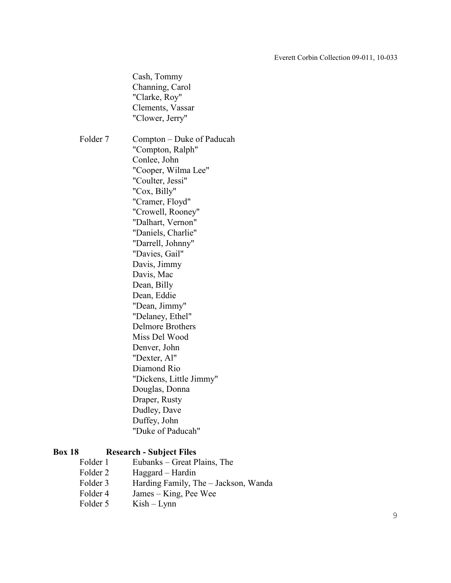Cash, Tommy Channing, Carol "Clarke, Roy" Clements, Vassar "Clower, Jerry" Folder 7 Compton – Duke of Paducah "Compton, Ralph" Conlee, John "Cooper, Wilma Lee" "Coulter, Jessi" "Cox, Billy" "Cramer, Floyd" "Crowell, Rooney" "Dalhart, Vernon" "Daniels, Charlie" "Darrell, Johnny" "Davies, Gail" Davis, Jimmy Davis, Mac Dean, Billy Dean, Eddie "Dean, Jimmy" "Delaney, Ethel" Delmore Brothers Miss Del Wood Denver, John "Dexter, Al" Diamond Rio "Dickens, Little Jimmy" Douglas, Donna Draper, Rusty Dudley, Dave Duffey, John "Duke of Paducah"

## **Box 18 Research - Subject Files**

Folder 1 Eubanks – Great Plains, The Folder 2 Haggard – Hardin Folder 3 Harding Family, The – Jackson, Wanda Folder 4 James – King, Pee Wee Folder 5 Kish – Lynn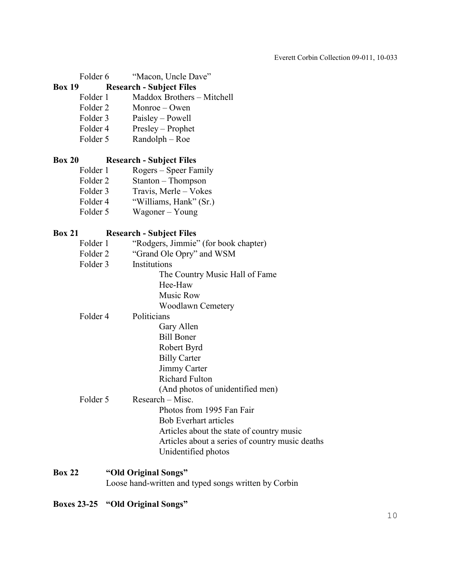| Folder 6      | "Macon, Uncle Dave"                                  |
|---------------|------------------------------------------------------|
| <b>Box 19</b> | <b>Research - Subject Files</b>                      |
| Folder 1      | Maddox Brothers - Mitchell                           |
| Folder 2      | Monroe – Owen                                        |
| Folder 3      | Paisley – Powell                                     |
| Folder 4      | Presley – Prophet                                    |
| Folder 5      | $Random - Roe$                                       |
| <b>Box 20</b> | <b>Research - Subject Files</b>                      |
| Folder 1      | Rogers – Speer Family                                |
| Folder 2      | Stanton - Thompson                                   |
| Folder 3      | Travis, Merle - Vokes                                |
| Folder 4      | "Williams, Hank" (Sr.)                               |
| Folder 5      | Wagoner – Young                                      |
| <b>Box 21</b> | <b>Research - Subject Files</b>                      |
| Folder 1      | "Rodgers, Jimmie" (for book chapter)                 |
| Folder 2      | "Grand Ole Opry" and WSM                             |
| Folder 3      | Institutions                                         |
|               | The Country Music Hall of Fame                       |
|               | Hee-Haw                                              |
|               | Music Row                                            |
|               | <b>Woodlawn Cemetery</b>                             |
| Folder 4      | Politicians                                          |
|               | Gary Allen                                           |
|               | <b>Bill Boner</b>                                    |
|               | Robert Byrd                                          |
|               | <b>Billy Carter</b>                                  |
|               | Jimmy Carter                                         |
|               | <b>Richard Fulton</b>                                |
|               | (And photos of unidentified men)                     |
| Folder 5      | Research – Misc.                                     |
|               | Photos from 1995 Fan Fair                            |
|               | <b>Bob Everhart articles</b>                         |
|               | Articles about the state of country music            |
|               | Articles about a series of country music deaths      |
|               | Unidentified photos                                  |
| <b>Box 22</b> | "Old Original Songs"                                 |
|               | Loose hand-written and typed songs written by Corbin |

**Boxes 23-25 "Old Original Songs"**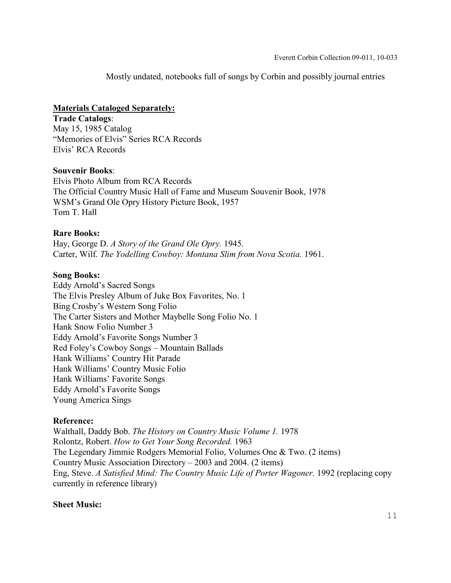Mostly undated, notebooks full of songs by Corbin and possibly journal entries

## **Materials Cataloged Separately:**

**Trade Catalogs**: May 15, 1985 Catalog "Memories of Elvis" Series RCA Records Elvis' RCA Records

#### **Souvenir Books**:

Elvis Photo Album from RCA Records The Official Country Music Hall of Fame and Museum Souvenir Book, 1978 WSM's Grand Ole Opry History Picture Book, 1957 Tom T. Hall

#### **Rare Books:**

Hay, George D. *A Story of the Grand Ole Opry.* 1945. Carter, Wilf. *The Yodelling Cowboy: Montana Slim from Nova Scotia.* 1961.

#### **Song Books:**

Eddy Arnold's Sacred Songs The Elvis Presley Album of Juke Box Favorites, No. 1 Bing Crosby's Western Song Folio The Carter Sisters and Mother Maybelle Song Folio No. 1 Hank Snow Folio Number 3 Eddy Arnold's Favorite Songs Number 3 Red Foley's Cowboy Songs – Mountain Ballads Hank Williams' Country Hit Parade Hank Williams' Country Music Folio Hank Williams' Favorite Songs Eddy Arnold's Favorite Songs Young America Sings

#### **Reference:**

Walthall, Daddy Bob. *The History on Country Music Volume 1.* 1978 Rolontz, Robert. *How to Get Your Song Recorded.* 1963 The Legendary Jimmie Rodgers Memorial Folio, Volumes One & Two. (2 items) Country Music Association Directory – 2003 and 2004. (2 items) Eng, Steve. *A Satisfied Mind: The Country Music Life of Porter Wagoner.* 1992 (replacing copy currently in reference library)

## **Sheet Music:**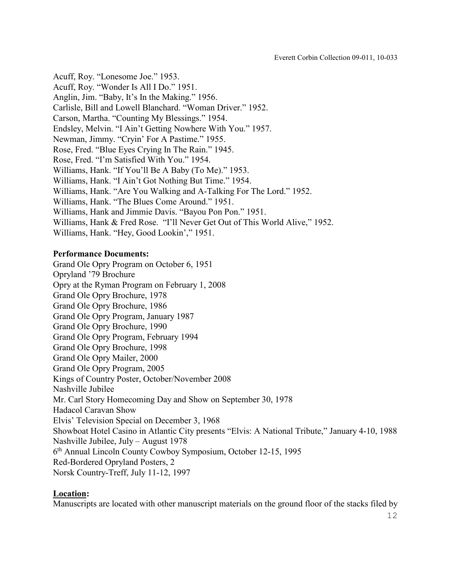Acuff, Roy. "Lonesome Joe." 1953. Acuff, Roy. "Wonder Is All I Do." 1951. Anglin, Jim. "Baby, It's In the Making." 1956. Carlisle, Bill and Lowell Blanchard. "Woman Driver." 1952. Carson, Martha. "Counting My Blessings." 1954. Endsley, Melvin. "I Ain't Getting Nowhere With You." 1957. Newman, Jimmy. "Cryin' For A Pastime." 1955. Rose, Fred. "Blue Eyes Crying In The Rain." 1945. Rose, Fred. "I'm Satisfied With You." 1954. Williams, Hank. "If You'll Be A Baby (To Me)." 1953. Williams, Hank. "I Ain't Got Nothing But Time." 1954. Williams, Hank. "Are You Walking and A-Talking For The Lord." 1952. Williams, Hank. "The Blues Come Around." 1951. Williams, Hank and Jimmie Davis. "Bayou Pon Pon." 1951. Williams, Hank & Fred Rose. "I'll Never Get Out of This World Alive," 1952. Williams, Hank. "Hey, Good Lookin'," 1951.

#### **Performance Documents:**

Grand Ole Opry Program on October 6, 1951 Opryland '79 Brochure Opry at the Ryman Program on February 1, 2008 Grand Ole Opry Brochure, 1978 Grand Ole Opry Brochure, 1986 Grand Ole Opry Program, January 1987 Grand Ole Opry Brochure, 1990 Grand Ole Opry Program, February 1994 Grand Ole Opry Brochure, 1998 Grand Ole Opry Mailer, 2000 Grand Ole Opry Program, 2005 Kings of Country Poster, October/November 2008 Nashville Jubilee Mr. Carl Story Homecoming Day and Show on September 30, 1978 Hadacol Caravan Show Elvis' Television Special on December 3, 1968 Showboat Hotel Casino in Atlantic City presents "Elvis: A National Tribute," January 4-10, 1988 Nashville Jubilee, July – August 1978 6th Annual Lincoln County Cowboy Symposium, October 12-15, 1995 Red-Bordered Opryland Posters, 2 Norsk Country-Treff, July 11-12, 1997

#### **Location:**

Manuscripts are located with other manuscript materials on the ground floor of the stacks filed by